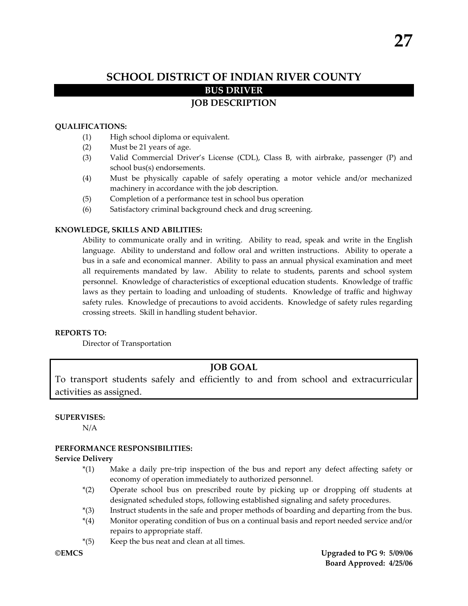# **SCHOOL DISTRICT OF INDIAN RIVER COUNTY BUS DRIVER JOB DESCRIPTION**

### **QUALIFICATIONS:**

- (1) High school diploma or equivalent.
- (2) Must be 21 years of age.
- (3) Valid Commercial Driver's License (CDL), Class B, with airbrake, passenger (P) and school bus(s) endorsements.
- (4) Must be physically capable of safely operating a motor vehicle and/or mechanized machinery in accordance with the job description.
- (5) Completion of a performance test in school bus operation
- (6) Satisfactory criminal background check and drug screening.

### **KNOWLEDGE, SKILLS AND ABILITIES:**

Ability to communicate orally and in writing. Ability to read, speak and write in the English language. Ability to understand and follow oral and written instructions. Ability to operate a bus in a safe and economical manner. Ability to pass an annual physical examination and meet all requirements mandated by law. Ability to relate to students, parents and school system personnel. Knowledge of characteristics of exceptional education students. Knowledge of traffic laws as they pertain to loading and unloading of students. Knowledge of traffic and highway safety rules. Knowledge of precautions to avoid accidents. Knowledge of safety rules regarding crossing streets. Skill in handling student behavior.

### **REPORTS TO:**

Director of Transportation

# **JOB GOAL**

To transport students safely and efficiently to and from school and extracurricular activities as assigned.

### **SUPERVISES:**

N/A

### **PERFORMANCE RESPONSIBILITIES:**

### **Service Delivery**

- \*(1) Make a daily pre-trip inspection of the bus and report any defect affecting safety or economy of operation immediately to authorized personnel.
- \*(2) Operate school bus on prescribed route by picking up or dropping off students at designated scheduled stops, following established signaling and safety procedures.
- \*(3) Instruct students in the safe and proper methods of boarding and departing from the bus.
- \*(4) Monitor operating condition of bus on a continual basis and report needed service and/or repairs to appropriate staff.
- \*(5) Keep the bus neat and clean at all times.

**©EMCS Upgraded to PG 9: 5/09/06 Board Approved: 4/25/06**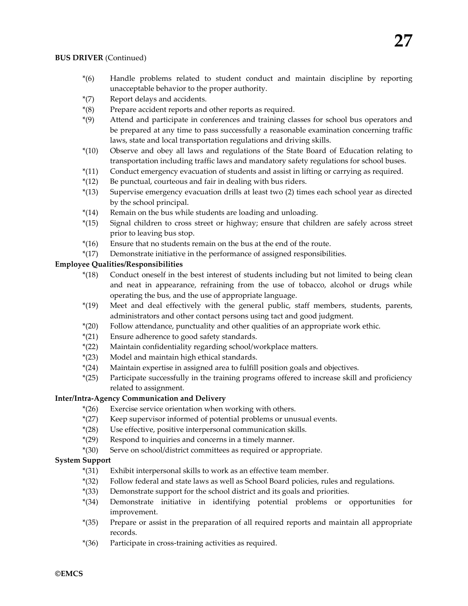- \*(6) Handle problems related to student conduct and maintain discipline by reporting unacceptable behavior to the proper authority.
- \*(7) Report delays and accidents.
- \*(8) Prepare accident reports and other reports as required.
- \*(9) Attend and participate in conferences and training classes for school bus operators and be prepared at any time to pass successfully a reasonable examination concerning traffic laws, state and local transportation regulations and driving skills.
- \*(10) Observe and obey all laws and regulations of the State Board of Education relating to transportation including traffic laws and mandatory safety regulations for school buses.
- \*(11) Conduct emergency evacuation of students and assist in lifting or carrying as required.
- \*(12) Be punctual, courteous and fair in dealing with bus riders.
- \*(13) Supervise emergency evacuation drills at least two (2) times each school year as directed by the school principal.
- \*(14) Remain on the bus while students are loading and unloading.
- \*(15) Signal children to cross street or highway; ensure that children are safely across street prior to leaving bus stop.
- \*(16) Ensure that no students remain on the bus at the end of the route.
- \*(17) Demonstrate initiative in the performance of assigned responsibilities.

### **Employee Qualities/Responsibilities**

- \*(18) Conduct oneself in the best interest of students including but not limited to being clean and neat in appearance, refraining from the use of tobacco, alcohol or drugs while operating the bus, and the use of appropriate language.
- \*(19) Meet and deal effectively with the general public, staff members, students, parents, administrators and other contact persons using tact and good judgment.
- \*(20) Follow attendance, punctuality and other qualities of an appropriate work ethic.
- \*(21) Ensure adherence to good safety standards.
- \*(22) Maintain confidentiality regarding school/workplace matters.
- \*(23) Model and maintain high ethical standards.
- \*(24) Maintain expertise in assigned area to fulfill position goals and objectives.
- \*(25) Participate successfully in the training programs offered to increase skill and proficiency related to assignment.

# **Inter/Intra-Agency Communication and Delivery**

- \*(26) Exercise service orientation when working with others.
- \*(27) Keep supervisor informed of potential problems or unusual events.
- \*(28) Use effective, positive interpersonal communication skills.
- \*(29) Respond to inquiries and concerns in a timely manner.
- \*(30) Serve on school/district committees as required or appropriate.

### **System Support**

- \*(31) Exhibit interpersonal skills to work as an effective team member.
- \*(32) Follow federal and state laws as well as School Board policies, rules and regulations.
- \*(33) Demonstrate support for the school district and its goals and priorities.
- \*(34) Demonstrate initiative in identifying potential problems or opportunities for improvement.
- \*(35) Prepare or assist in the preparation of all required reports and maintain all appropriate records.
- \*(36) Participate in cross-training activities as required.